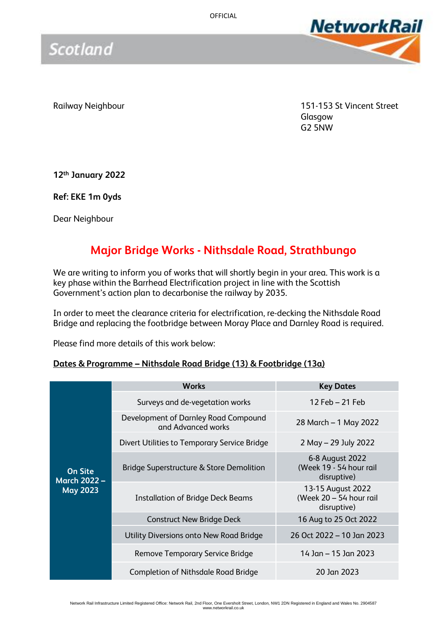

Scotland

Railway Neighbour 151-153 St Vincent Street Glasgow G2 5NW

**12th January 2022**

**Ref: EKE 1m 0yds**

Dear Neighbour

## **Major Bridge Works - Nithsdale Road, Strathbungo**

We are writing to inform you of works that will shortly begin in your area. This work is a key phase within the Barrhead Electrification project in line with the Scottish Government's action plan to decarbonise the railway by 2035.

In order to meet the clearance criteria for electrification, re-decking the Nithsdale Road Bridge and replacing the footbridge between Moray Place and Darnley Road is required.

Please find more details of this work below:

### **Dates & Programme – Nithsdale Road Bridge (13) & Footbridge (13a)**

|                                                          | <b>Works</b>                                               | <b>Key Dates</b>                                            |
|----------------------------------------------------------|------------------------------------------------------------|-------------------------------------------------------------|
| <b>On Site</b><br><b>March 2022 -</b><br><b>May 2023</b> | Surveys and de-vegetation works                            | 12 Feb $-$ 21 Feb                                           |
|                                                          | Development of Darnley Road Compound<br>and Advanced works | 28 March – 1 May 2022                                       |
|                                                          | Divert Utilities to Temporary Service Bridge               | $2$ May $-$ 29 July 2022                                    |
|                                                          | Bridge Superstructure & Store Demolition                   | 6-8 August 2022<br>(Week 19 - 54 hour rail<br>disruptive)   |
|                                                          | <b>Installation of Bridge Deck Beams</b>                   | 13-15 August 2022<br>(Week 20 - 54 hour rail<br>disruptive) |
|                                                          | <b>Construct New Bridge Deck</b>                           | 16 Aug to 25 Oct 2022                                       |
|                                                          | Utility Diversions onto New Road Bridge                    | 26 Oct 2022 – 10 Jan 2023                                   |
|                                                          | Remove Temporary Service Bridge                            | 14 Jan - 15 Jan 2023                                        |
|                                                          | Completion of Nithsdale Road Bridge                        | 20 Jan 2023                                                 |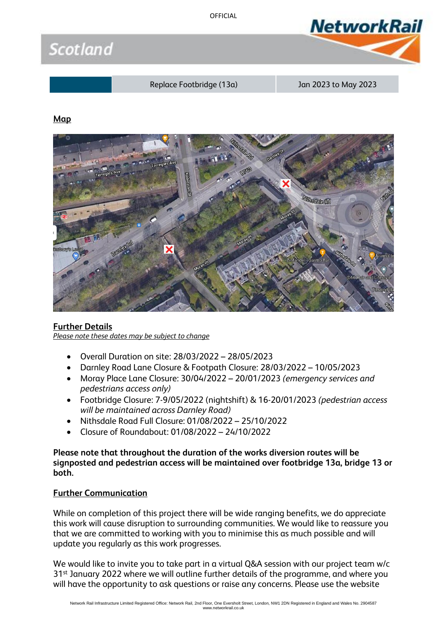OFFICIAL





Replace Footbridge (13a) Jan 2023 to May 2023

### **Map**



### **Further Details**

*Please note these dates may be subject to change*

- Overall Duration on site: 28/03/2022 28/05/2023
- Darnley Road Lane Closure & Footpath Closure: 28/03/2022 10/05/2023
- Moray Place Lane Closure: 30/04/2022 20/01/2023 *(emergency services and pedestrians access only)*
- Footbridge Closure: 7-9/05/2022 (nightshift) & 16-20/01/2023 *(pedestrian access will be maintained across Darnley Road)*
- Nithsdale Road Full Closure: 01/08/2022 25/10/2022
- Closure of Roundabout: 01/08/2022 24/10/2022

**Please note that throughout the duration of the works diversion routes will be signposted and pedestrian access will be maintained over footbridge 13a, bridge 13 or both.**

### **Further Communication**

While on completion of this project there will be wide ranging benefits, we do appreciate this work will cause disruption to surrounding communities. We would like to reassure you that we are committed to working with you to minimise this as much possible and will update you regularly as this work progresses.

We would like to invite you to take part in a virtual O&A session with our project team w/c 31<sup>st</sup> January 2022 where we will outline further details of the programme, and where you will have the opportunity to ask questions or raise any concerns. Please use the website